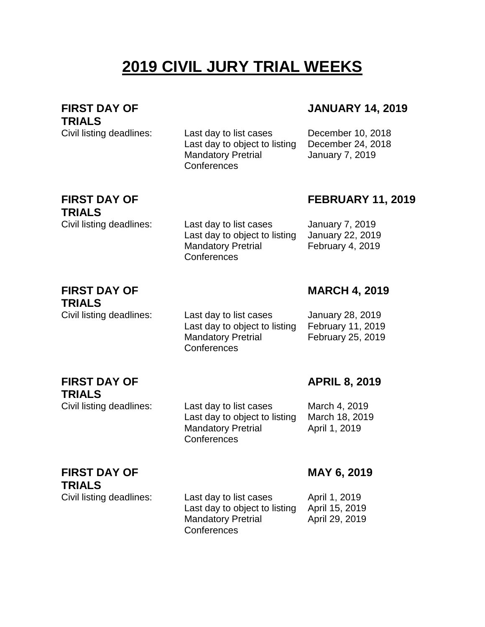# **2019 CIVIL JURY TRIAL WEEKS**

#### **FIRST DAY OF TRIALS**

## **JANUARY 14, 2019**

Civil listing deadlines: Last day to list cases December 10, 2018 Last day to object to listing December 24, 2018 Mandatory Pretrial **Conferences** 

Mandatory Pretrial

**Conferences** 

**Conferences** 

January 7, 2019

## **FIRST DAY OF TRIALS**

## **FEBRUARY 11, 2019**

Civil listing deadlines: Last day to list cases January 7, 2019 Last day to object to listing January 22, 2019 February 4, 2019

**MARCH 4, 2019**

#### **FIRST DAY OF TRIALS**

Civil listing deadlines: Last day to list cases January 28, 2019 Last day to object to listing February 11, 2019 Mandatory Pretrial **Conferences** February 25, 2019

#### **FIRST DAY OF TRIALS**

## **APRIL 8, 2019**

Civil listing deadlines: Last day to list cases March 4, 2019 Last day to object to listing March 18, 2019 Mandatory Pretrial April 1, 2019

## **FIRST DAY OF TRIALS**

Civil listing deadlines: Last day to list cases April 1, 2019 Last day to object to listing April 15, 2019 Mandatory Pretrial **Conferences** 

April 29, 2019

**MAY 6, 2019**